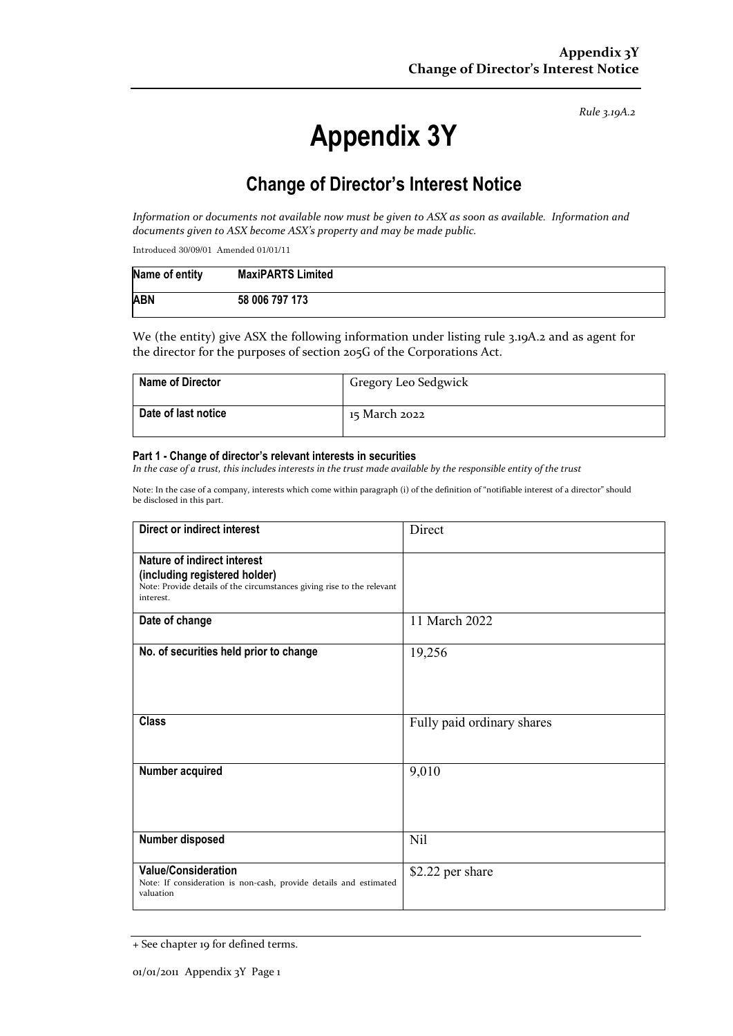*Rule 3.19A.2*

# **Appendix 3Y**

# **Change of Director's Interest Notice**

*Information or documents not available now must be given to ASX as soon as available. Information and documents given to ASX become ASX's property and may be made public.*

Introduced 30/09/01 Amended 01/01/11

| Name of entity | <b>MaxiPARTS Limited</b> |
|----------------|--------------------------|
| <b>ABN</b>     | 58 006 797 173           |

We (the entity) give ASX the following information under listing rule 3.19A.2 and as agent for the director for the purposes of section 205G of the Corporations Act.

| <b>Name of Director</b> | Gregory Leo Sedgwick |
|-------------------------|----------------------|
| Date of last notice     | 15 March 2022        |

#### **Part 1 - Change of director's relevant interests in securities**

*In the case of a trust, this includes interests in the trust made available by the responsible entity of the trust*

Note: In the case of a company, interests which come within paragraph (i) of the definition of "notifiable interest of a director" should be disclosed in this part.

| Direct or indirect interest                                                                                                                         | Direct                     |  |
|-----------------------------------------------------------------------------------------------------------------------------------------------------|----------------------------|--|
| Nature of indirect interest<br>(including registered holder)<br>Note: Provide details of the circumstances giving rise to the relevant<br>interest. |                            |  |
| Date of change                                                                                                                                      | 11 March 2022              |  |
| No. of securities held prior to change                                                                                                              | 19,256                     |  |
| <b>Class</b>                                                                                                                                        | Fully paid ordinary shares |  |
| Number acquired                                                                                                                                     | 9,010                      |  |
| Number disposed                                                                                                                                     | Nil                        |  |
| <b>Value/Consideration</b><br>Note: If consideration is non-cash, provide details and estimated<br>valuation                                        | \$2.22 per share           |  |

<sup>+</sup> See chapter 19 for defined terms.